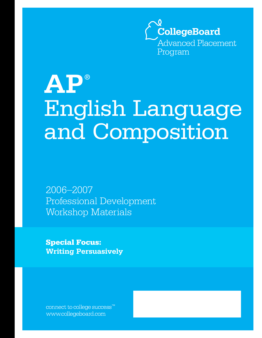

# **AP** ® English Language and Composition

2006–2007 Professional Development Workshop Materials

**Special Focus: Writing Persuasively**

connect to college success™ www.collegeboard.com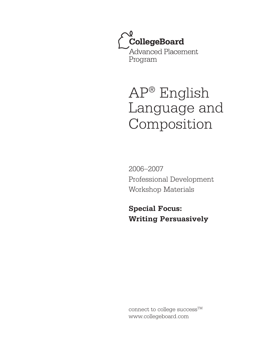CollegeBoard **Advanced Placement** Program

# AP® English Language and Composition

2006–2007 Professional Development Workshop Materials

**Special Focus: Writing Persuasively**

connect to college success<sup>TM</sup> www.collegeboard.com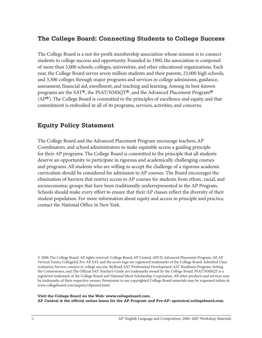# **The College Board: Connecting Students to College Success**

The College Board is a not-for-profit membership association whose mission is to connect students to college success and opportunity. Founded in 1900, the association is composed of more than 5,000 schools, colleges, universities, and other educational organizations. Each year, the College Board serves seven million students and their parents, 23,000 high schools, and 3,500 colleges through major programs and services in college admissions, guidance, assessment, financial aid, enrollment, and teaching and learning. Among its best-known programs are the SAT®, the PSAT/NMSQT®, and the Advanced Placement Program® (AP®). The College Board is committed to the principles of excellence and equity, and that commitment is embodied in all of its programs, services, activities, and concerns.

# **Equity Policy Statement**

The College Board and the Advanced Placement Program encourage teachers, AP Coordinators, and school administrators to make equitable access a guiding principle for their AP programs. The College Board is committed to the principle that all students deserve an opportunity to participate in rigorous and academically challenging courses and programs. All students who are willing to accept the challenge of a rigorous academic curriculum should be considered for admission to AP courses. The Board encourages the elimination of barriers that restrict access to AP courses for students from ethnic, racial, and socioeconomic groups that have been traditionally underrepresented in the AP Program. Schools should make every effort to ensure that their AP classes reflect the diversity of their student population. For more information about equity and access in principle and practice, contact the National Office in New York.

© 2006 The College Board. All rights reserved. College Board, AP Central, APCD, Advanced Placement Program, AP, AP Vertical Teams, CollegeEd, Pre-AP, SAT, and the acorn logo are registered trademarks of the College Board. Admitted Class evaluation Service, connect to college success, MyRoad, SAT Professional Development, SAT Readiness Program, Setting the Cornerstones, and The Official SAT Teacher's Guide are trademarks owned by the College Board. PSAT/NMSQT is a registered trademark of the College Board and National Merit Scholarship Corporation. All other products and services may be trademarks of their respective owners. Permission to use copyrighted College Board materials may be requested online at: www.collegeboard.com/inquiry/cbpermit.html.

**Visit the College Board on the Web: www.collegeboard.com. AP Central is the official online home for the AP Program and Pre-AP: apcentral.collegeboard.com.**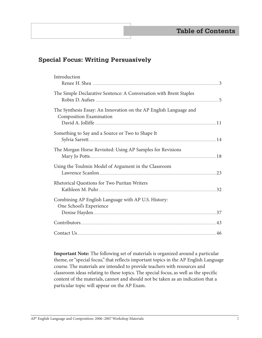# **Special Focus: Writing Persuasively**

| Introduction                                                                                        |  |
|-----------------------------------------------------------------------------------------------------|--|
| The Simple Declarative Sentence: A Conversation with Brent Staples                                  |  |
| The Synthesis Essay: An Innovation on the AP English Language and<br><b>Composition Examination</b> |  |
| Something to Say and a Source or Two to Shape It                                                    |  |
| The Morgan Horse Revisited: Using AP Samples for Revisions                                          |  |
| Using the Toulmin Model of Argument in the Classroom                                                |  |
| Rhetorical Questions for Two Puritan Writers                                                        |  |
| Combining AP English Language with AP U.S. History:<br>One School's Experience                      |  |
|                                                                                                     |  |
|                                                                                                     |  |
|                                                                                                     |  |

 **Important Note:** The following set of materials is organized around a particular theme, or "special focus," that reflects important topics in the AP English Language course. The materials are intended to provide teachers with resources and classroom ideas relating to these topics. The special focus, as well as the specific content of the materials, cannot and should not be taken as an indication that a particular topic will appear on the AP Exam.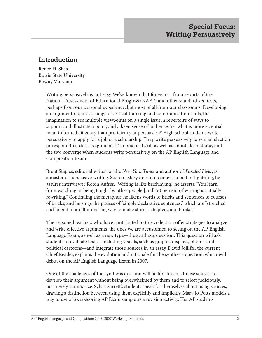# **Introduction**

Renee H. Shea Bowie State University Bowie, Maryland

> Writing persuasively is not easy. We've known that for years—from reports of the National Assessment of Educational Progress (NAEP) and other standardized tests, perhaps from our personal experience, but most of all from our classrooms. Developing an argument requires a range of critical thinking and communication skills, the imagination to see multiple viewpoints on a single issue, a repertoire of ways to support and illustrate a point, and a keen sense of audience. Yet what is more essential to an informed citizenry than proficiency at persuasion? High school students write persuasively to apply for a job or a scholarship. They write persuasively to win an election or respond to a class assignment. It's a practical skill as well as an intellectual one, and the two converge when students write persuasively on the AP English Language and Composition Exam.

Brent Staples, editorial writer for the *New York Times* and author of *Parallel Lives*, is a master of persuasive writing. Such mastery does not come as a bolt of lightning, he assures interviewer Robin Aufses. "Writing is like bricklaying," he asserts. "You learn from watching or being taught by other people [and] 90 percent of writing is actually rewriting." Continuing the metaphor, he likens words to bricks and sentences to courses of bricks, and he sings the praises of "simple declarative sentences," which are "stretched end to end in an illuminating way to make stories, chapters, and books."

The seasoned teachers who have contributed to this collection offer strategies to analyze and write effective arguments, the ones we are accustomed to seeing on the AP English Language Exam, as well as a new type—the synthesis question. This question will ask students to evaluate texts—including visuals, such as graphic displays, photos, and political cartoons—and integrate those sources in an essay. David Jolliffe, the current Chief Reader, explains the evolution and rationale for the synthesis question, which will debut on the AP English Language Exam in 2007.

One of the challenges of the synthesis question will be for students to use sources to develop their argument without being overwhelmed by them and to select judiciously, not merely summarize. Sylvia Sarrett's students speak for themselves about using sources, drawing a distinction between using them explicitly and implicitly. Mary Jo Potts models a way to use a lower-scoring AP Exam sample as a revision activity. Her AP students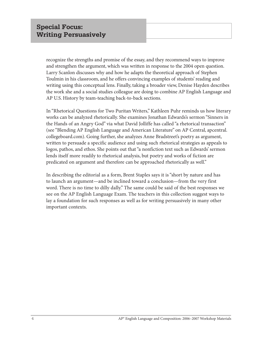recognize the strengths and promise of the essay, and they recommend ways to improve and strengthen the argument, which was written in response to the 2004 open question. Larry Scanlon discusses why and how he adapts the theoretical approach of Stephen Toulmin in his classroom, and he offers convincing examples of students' reading and writing using this conceptual lens. Finally, taking a broader view, Denise Hayden describes the work she and a social studies colleague are doing to combine AP English Language and AP U.S. History by team-teaching back-to-back sections.

In "Rhetorical Questions for Two Puritan Writers," Kathleen Puhr reminds us how literary works can be analyzed rhetorically. She examines Jonathan Edwards's sermon "Sinners in the Hands of an Angry God" via what David Jolliffe has called "a rhetorical transaction" (see "Blending AP English Language and American Literature" on AP Central, apcentral. collegeboard.com). Going further, she analyzes Anne Bradstreet's poetry as argument, written to persuade a specific audience and using such rhetorical strategies as appeals to logos, pathos, and ethos. She points out that "a nonfiction text such as Edwards' sermon lends itself more readily to rhetorical analysis, but poetry and works of fiction are predicated on argument and therefore can be approached rhetorically as well."

In describing the editorial as a form, Brent Staples says it is "short by nature and has to launch an argument—and be inclined toward a conclusion—from the very first word. There is no time to dilly dally." The same could be said of the best responses we see on the AP English Language Exam. The teachers in this collection suggest ways to lay a foundation for such responses as well as for writing persuasively in many other important contexts.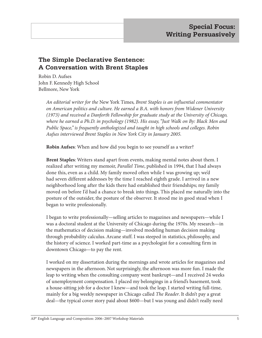# **The Simple Declarative Sentence: A Conversation with Brent Staples**

Robin D. Aufses John F. Kennedy High School Bellmore, New York

> *An editorial writer for the* New York Times*, Brent Staples is an influential commentator on American politics and culture. He earned a B.A. with honors from Widener University (1973) and received a Danforth Fellowship for graduate study at the University of Chicago, where he earned a Ph.D. in psychology (1982). His essay, "Just Walk on By: Black Men and Public Space," is frequently anthologized and taught in high schools and colleges. Robin Aufses interviewed Brent Staples in New York City in January 2005.*

**Robin Aufses**: When and how did you begin to see yourself as a writer?

**Brent Staples**: Writers stand apart from events, making mental notes about them. I realized after writing my memoir, *Parallel Time*, published in 1994, that I had always done this, even as a child. My family moved often while I was growing up; we'd had seven different addresses by the time I reached eighth grade. I arrived in a new neighborhood long after the kids there had established their friendships; my family moved on before I'd had a chance to break into things. This placed me naturally into the posture of the outsider, the posture of the observer. It stood me in good stead when I began to write professionally.

I began to write professionally—selling articles to magazines and newspapers—while I was a doctoral student at the University of Chicago during the 1970s. My research—in the mathematics of decision making—involved modeling human decision making through probability calculus. Arcane stuff. I was steeped in statistics, philosophy, and the history of science. I worked part-time as a psychologist for a consulting firm in downtown Chicago—to pay the rent.

I worked on my dissertation during the mornings and wrote articles for magazines and newspapers in the afternoon. Not surprisingly, the afternoon was more fun. I made the leap to writing when the consulting company went bankrupt—and I received 24 weeks of unemployment compensation. I placed my belongings in a friend's basement, took a house-sitting job for a doctor I knew—and took the leap. I started writing full-time, mainly for a big weekly newspaper in Chicago called *The Reader*. It didn't pay a great deal—the typical cover story paid about \$600—but I was young and didn't really need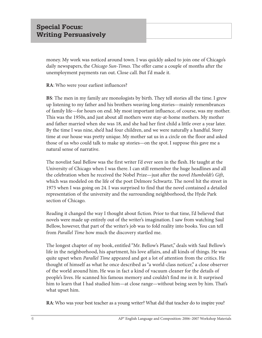money. My work was noticed around town. I was quickly asked to join one of Chicago's daily newspapers, the *Chicago Sun-Times*. The offer came a couple of months after the unemployment payments ran out. Close call. But I'd made it.

#### **RA**: Who were your earliest influences?

**BS**: The men in my family are monologists by birth. They tell stories all the time. I grew up listening to my father and his brothers weaving long stories—mainly remembrances of family life—for hours on end. My most important influence, of course, was my mother. This was the 1950s, and just about all mothers were stay-at-home mothers. My mother and father married when she was 18, and she had her first child a little over a year later. By the time I was nine, she'd had four children, and we were naturally a handful. Story time at our house was pretty unique. My mother sat us in a circle on the floor and asked those of us who could talk to make up stories—on the spot. I suppose this gave me a natural sense of narrative.

The novelist Saul Bellow was the first writer I'd ever seen in the flesh. He taught at the University of Chicago when I was there. I can still remember the huge headlines and all the celebration when he received the Nobel Prize—just after the novel *Humboldt's Gift*, which was modeled on the life of the poet Delmore Schwartz. The novel hit the street in 1975 when I was going on 24. I was surprised to find that the novel contained a detailed representation of the university and the surrounding neighborhood, the Hyde Park section of Chicago.

Reading it changed the way I thought about fiction. Prior to that time, I'd believed that novels were made up entirely out of the writer's imagination. I saw from watching Saul Bellow, however, that part of the writer's job was to fold reality into books. You can tell from *Parallel Time* how much the discovery startled me.

The longest chapter of my book, entitled "Mr. Bellow's Planet," deals with Saul Bellow's life in the neighborhood, his apartment, his love affairs, and all kinds of things. He was quite upset when *Parallel Time* appeared and got a lot of attention from the critics. He thought of himself as what he once described as "a world-class noticer," a close observer of the world around him. He was in fact a kind of vacuum cleaner for the details of people's lives. He scanned his famous memory and couldn't find me in it. It surprised him to learn that I had studied him—at close range—without being seen by him. That's what upset him.

**RA**: Who was your best teacher as a young writer? What did that teacher do to inspire you?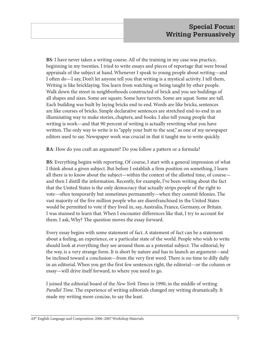**BS**: I have never taken a writing course. All of the training in my case was practice, beginning in my twenties. I tried to write essays and pieces of reportage that were broad appraisals of the subject at hand. Whenever I speak to young people about writing—and I often do—I say, Don't let anyone tell you that writing is a mystical activity. I tell them, Writing is like bricklaying. You learn from watching or being taught by other people. Walk down the street in neighborhoods constructed of brick and you see buildings of all shapes and sizes. Some are square. Some have turrets. Some are squat. Some are tall. Each building was built by laying bricks end to end. Words are like bricks, sentences are like courses of bricks. Simple declarative sentences are stretched end-to-end in an illuminating way to make stories, chapters, and books. I also tell young people that writing is work—and that 90 percent of writing is actually rewriting what you have written. The only way to write is to "apply your butt to the seat," as one of my newspaper editors used to say. Newspaper work was crucial in that it taught me to write quickly.

**RA**: How do you craft an argument? Do you follow a pattern or a formula?

**BS**: Everything begins with reporting. Of course, I start with a general impression of what I think about a given subject. But before I establish a firm position on something, I learn all there is to know about the subject—within the context of the allotted time, of course and then I distill the information. Recently, for example, I've been writing about the fact that the United States is the only democracy that actually strips people of the right to vote—often temporarily but sometimes permanently—when they commit felonies. The vast majority of the five million people who are disenfranchised in the United States would be permitted to vote if they lived in, say, Australia, France, Germany, or Britain. I was stunned to learn that. When I encounter differences like that, I try to account for them. I ask, Why? The question moves the essay forward.

Every essay begins with some statement of fact. A statement of fact can be a statement about a feeling, an experience, or a particular state of the world. People who wish to write should look at everything they see around them as a potential subject. The editorial, by the way, is a very strange form. It is short by nature and has to launch an argument—and be inclined toward a conclusion—from the very first word. There is no time to dilly dally in an editorial. When you get the first few sentences right, the editorial—or the column or essay—will drive itself forward, to where you need to go.

I joined the editorial board of the *New York Times* in 1990, in the middle of writing *Parallel Time*. The experience of writing editorials changed my writing dramatically. It made my writing more concise, to say the least.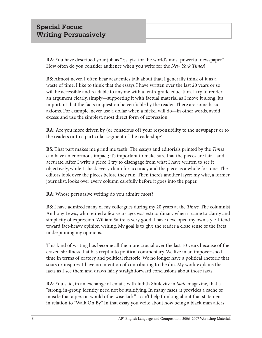**RA**: You have described your job as "essayist for the world's most powerful newspaper." How often do you consider audience when you write for the *New York Times*?

**BS**: Almost never. I often hear academics talk about that; I generally think of it as a waste of time. I like to think that the essays I have written over the last 20 years or so will be accessible and readable to anyone with a tenth-grade education. I try to render an argument clearly, simply—supporting it with factual material as I move it along. It's important that the facts in question be verifiable by the reader. There are some basic axioms. For example, never use a dollar when a nickel will do—in other words, avoid excess and use the simplest, most direct form of expression.

**RA:** Are you more driven by (or conscious of) your responsibility to the newspaper or to the readers or to a particular segment of the readership?

**BS**: That part makes me grind me teeth. The essays and editorials printed by the *Times* can have an enormous impact; it's important to make sure that the pieces are fair—and accurate. After I write a piece, I try to disengage from what I have written to see it objectively, while I check every claim for accuracy and the piece as a whole for tone. The editors look over the pieces before they run. Then there's another layer: my wife, a former journalist, looks over every column carefully before it goes into the paper.

**RA**: Whose persuasive writing do you admire most?

**BS**: I have admired many of my colleagues during my 20 years at the *Times*. The columnist Anthony Lewis, who retired a few years ago, was extraordinary when it came to clarity and simplicity of expression. William Safire is very good. I have developed my own style. I tend toward fact-heavy opinion writing. My goal is to give the reader a close sense of the facts underpinning my opinions.

This kind of writing has become all the more crucial over the last 10 years because of the crazed shrillness that has crept into political commentary. We live in an impoverished time in terms of oratory and political rhetoric. We no longer have a political rhetoric that soars or inspires. I have no intention of contributing to the din. My work explains the facts as I see them and draws fairly straightforward conclusions about those facts.

**RA**: You said, in an exchange of emails with Judith Shulevitz in *Slate* magazine, that a "strong, in-group identity need not be stultifying. In many cases, it provides a cache of muscle that a person would otherwise lack." I can't help thinking about that statement in relation to "Walk On By." In that essay you write about how being a black man alters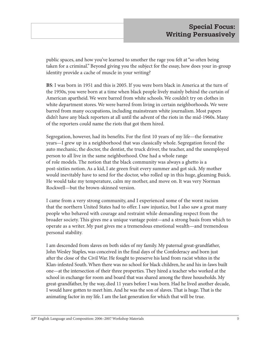public spaces, and how you've learned to smother the rage you felt at "so often being taken for a criminal." Beyond giving you the subject for the essay, how does your in-group identity provide a cache of muscle in your writing?

**BS**: I was born in 1951 and this is 2005. If you were born black in America at the turn of the 1950s, you were born at a time when black people lively mainly behind the curtain of American apartheid. We were barred from white schools. We couldn't try on clothes in white department stores. We were barred from living in certain neighborhoods. We were barred from many occupations, including mainstream white journalism. Most papers didn't have any black reporters at all until the advent of the riots in the mid-1960s. Many of the reporters could name the riots that got them hired.

Segregation, however, had its benefits. For the first 10 years of my life—the formative years—I grew up in a neighborhood that was classically whole. Segregation forced the auto mechanic, the doctor, the dentist, the truck driver, the teacher, and the unemployed person to all live in the same neighborhood. One had a whole range of role models. The notion that the black community was always a ghetto is a post-sixties notion. As a kid, I ate green fruit every summer and got sick. My mother would inevitably have to send for the doctor, who rolled up in this huge, gleaming Buick. He would take my temperature, calm my mother, and move on. It was very Norman Rockwell—but the brown-skinned version.

I came from a very strong community, and I experienced some of the worst racism that the northern United States had to offer. I saw injustice, but I also saw a great many people who behaved with courage and restraint while demanding respect from the broader society. This gives me a unique vantage point—and a strong basis from which to operate as a writer. My past gives me a tremendous emotional wealth—and tremendous personal stability.

I am descended from slaves on both sides of my family. My paternal great-grandfather, John Wesley Staples, was conceived in the final days of the Confederacy and born just after the close of the Civil War. He fought to preserve his land from racist whites in the Klan-infested South. When there was no school for black children, he and his in-laws built one—at the intersection of their three properties. They hired a teacher who worked at the school in exchange for room and board that was shared among the three households. My great-grandfather, by the way, died 11 years before I was born. Had he lived another decade, I would have gotten to meet him. And he was the son of slaves. That is huge. That is the animating factor in my life. I am the last generation for which that will be true.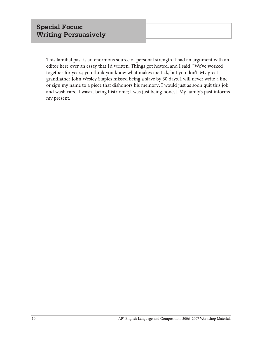This familial past is an enormous source of personal strength. I had an argument with an editor here over an essay that I'd written. Things got heated, and I said**,**"We've worked together for years; you think you know what makes me tick, but you don't. My greatgrandfather John Wesley Staples missed being a slave by 60 days. I will never write a line or sign my name to a piece that dishonors his memory; I would just as soon quit this job and wash cars." I wasn't being histrionic; I was just being honest. My family's past informs my present.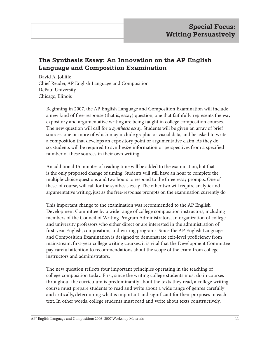# **The Synthesis Essay: An Innovation on the AP English Language and Composition Examination**

David A. Jolliffe Chief Reader, AP English Language and Composition DePaul University Chicago, Illinois

Beginning in 2007, the AP English Language and Composition Examination will include a new kind of free-response (that is, essay) question, one that faithfully represents the way expository and argumentative writing are being taught in college composition courses. The new question will call for a *synthesis essay*. Students will be given an array of brief sources, one or more of which may include graphic or visual data, and be asked to write a composition that develops an expository point or argumentative claim. As they do so, students will be required to synthesize information or perspectives from a specified number of these sources in their own writing.

An additional 15 minutes of reading time will be added to the examination, but that is the only proposed change of timing. Students will still have an hour to complete the multiple-choice questions and two hours to respond to the three essay prompts. One of these, of course, will call for the synthesis essay. The other two will require analytic and argumentative writing, just as the free-response prompts on the examination currently do.

This important change to the examination was recommended to the AP English Development Committee by a wide range of college composition instructors, including members of the Council of Writing Program Administrators, an organization of college and university professors who either direct or are interested in the administration of first-year English, composition, and writing programs. Since the AP English Language and Composition Examination is designed to demonstrate exit-level proficiency from mainstream, first-year college writing courses, it is vital that the Development Committee pay careful attention to recommendations about the scope of the exam from college instructors and administrators.

The new question reflects four important principles operating in the teaching of college composition today. First, since the writing college students must do in courses throughout the curriculum is predominantly about the texts they read, a college writing course must prepare students to read and write about a wide range of genres carefully and critically, determining what is important and significant for their purposes in each text. In other words, college students must read and write about texts constructively,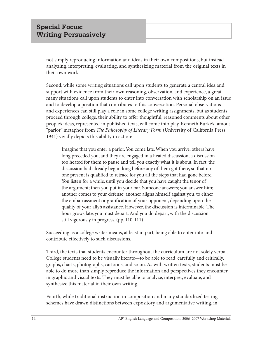not simply reproducing information and ideas in their own compositions, but instead analyzing, interpreting, evaluating, and synthesizing material from the original texts in their own work.

Second, while some writing situations call upon students to generate a central idea and support with evidence from their own reasoning, observation, and experience, a great many situations call upon students to enter into conversation with scholarship on an issue and to develop a position that contributes to this conversation. Personal observations and experiences can still play a role in some college writing assignments, but as students proceed through college, their ability to offer thoughtful, reasoned comments about other people's ideas, represented in published texts, will come into play. Kenneth Burke's famous "parlor" metaphor from *The Philosophy of Literary Form* (University of California Press, 1941) vividly depicts this ability in action:

Imagine that you enter a parlor. You come late. When you arrive, others have long preceded you, and they are engaged in a heated discussion, a discussion too heated for them to pause and tell you exactly what it is about. In fact, the discussion had already begun long before any of them got there, so that no one present is qualified to retrace for you all the steps that had gone before. You listen for a while, until you decide that you have caught the tenor of the argument; then you put in your oar. Someone answers; you answer him; another comes to your defense; another aligns himself against you, to either the embarrassment or gratification of your opponent, depending upon the quality of your ally's assistance. However, the discussion is interminable. The hour grows late, you must depart. And you do depart, with the discussion still vigorously in progress. (pp. 110-111)

Succeeding as a college writer means, at least in part, being able to enter into and contribute effectively to such discussions.

Third, the texts that students encounter throughout the curriculum are not solely verbal. College students need to be visually literate—to be able to read, carefully and critically, graphs, charts, photographs, cartoons, and so on. As with written texts, students must be able to do more than simply reproduce the information and perspectives they encounter in graphic and visual texts. They must be able to analyze, interpret, evaluate, and synthesize this material in their own writing.

Fourth, while traditional instruction in composition and many standardized testing schemes have drawn distinctions between expository and argumentative writing, in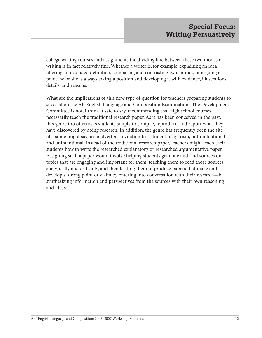college writing courses and assignments the dividing line between these two modes of writing is in fact relatively fine. Whether a writer is, for example, explaining an idea, offering an extended definition, comparing and contrasting two entities, or arguing a point, he or she is always taking a position and developing it with evidence, illustrations, details, and reasons.

What are the implications of this new type of question for teachers preparing students to succeed on the AP English Language and Composition Examination? The Development Committee is not, I think it safe to say, recommending that high school courses necessarily teach the traditional research paper. As it has been conceived in the past, this genre too often asks students simply to compile, reproduce, and report what they have discovered by doing research. In addition, the genre has frequently been the site of—some might say an inadvertent invitation to—student plagiarism, both intentional and unintentional. Instead of the traditional research paper, teachers might teach their students how to write the researched explanatory or researched argumentative paper. Assigning such a paper would involve helping students generate and find sources on topics that are engaging and important for them, teaching them to read those sources analytically and critically, and then leading them to produce papers that make and develop a strong point or claim by entering into conversation with their research—by synthesizing information and perspectives from the sources with their own reasoning and ideas.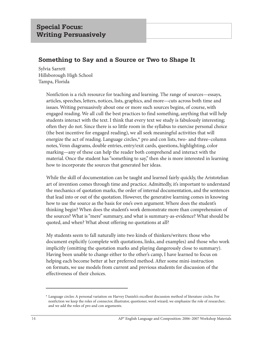# **Something to Say and a Source or Two to Shape It**

Sylvia Sarrett Hillsborough High School Tampa, Florida

> Nonfiction is a rich resource for teaching and learning. The range of sources—essays, articles, speeches, letters, notices, lists, graphics, and more—cuts across both time and issues. Writing persuasively about one or more such sources begins, of course, with engaged reading. We all cull the best practices to find something, anything that will help students interact with the text. I think that every text we study is fabulously interesting; often they do not. Since there is so little room in the syllabus to exercise personal choice (the best incentive for engaged reading), we all seek meaningful activities that will energize the act of reading. Language circles,\* pro and con lists, two- and three–column notes, Venn diagrams, double entries, entry/exit cards, questions, highlighting, color marking—any of these can help the reader both comprehend and interact with the material. Once the student has "something to say," then she is more interested in learning how to incorporate the sources that generated her ideas.

> While the skill of documentation can be taught and learned fairly quickly, the Aristotelian art of invention comes through time and practice. Admittedly, it's important to understand the mechanics of quotation marks, the order of internal documentation, and the sentences that lead into or out of the quotation. However, the generative learning comes in knowing how to use the source as the basis for one's own argument. Where does the student's thinking begin? When does the student's work demonstrate more than comprehension of the sources? What is "mere" summary, and what is summary-as-evidence? What should be quoted, and when? What about offering no quotations at all?

> My students seem to fall naturally into two kinds of thinkers/writers: those who document explicitly (complete with quotations, links, and examples) and those who work implicitly (omitting the quotation marks and playing dangerously close to summary). Having been unable to change either to the other's camp, I have learned to focus on helping each become better at her preferred method. After some mini-instruction on formats, we use models from current and previous students for discussion of the effectiveness of their choices.

<sup>\*</sup> Language circles: A personal variation on Harvey Daniels's excellent discussion method of literature circles. For nonfiction we keep the roles of connector, illustrator, questioner, word wizard; we emphasize the role of researcher; and we add the roles of pro and con arguments.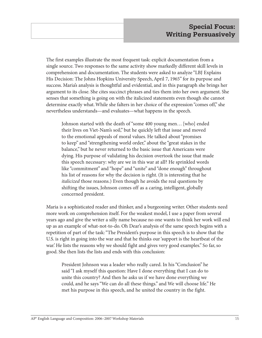The first examples illustrate the most frequent task: explicit documentation from a single source. Two responses to the same activity show markedly different skill levels in comprehension and documentation. The students were asked to analyze "LBJ Explains His Decision: The Johns Hopkins University Speech, April 7, 1965" for its purpose and success. Maria's analysis is thoughtful and evidential, and in this paragraph she brings her argument to its close. She cites succinct phrases and ties them into her own argument. She senses that something is going on with the italicized statements even though she cannot determine exactly what. While she falters in her choice of the expression "comes off," she nevertheless understands—and evaluates—what happens in the speech.

Johnson started with the death of "some 400 young men… [who] ended their lives on Viet-Nam's soil," but he quickly left that issue and moved to the emotional appeals of moral values. He talked about "promises to keep" and "strengthening world order," about the "great stakes in the balance," but he never returned to the basic issue that Americans were dying. His purpose of validating his decision overtook the issue that made this speech necessary: why are we in this war at all? He sprinkled words like "commitment" and "hope" and "unite" and "done enough" throughout his list of reasons for why the decision is right. (It is interesting that he *italicized* those reasons.) Even though he avoids the real questions by shifting the issues, Johnson comes off as a caring, intelligent, globally concerned president.

Maria is a sophisticated reader and thinker, and a burgeoning writer. Other students need more work on comprehension itself. For the weakest model, I use a paper from several years ago and give the writer a silly name because no one wants to think her work will end up as an example of what-not-to-do. Oh Dear's analysis of the same speech begins with a repetition of part of the task: "The President's purpose in this speech is to show that the U.S. is right in going into the war and that he thinks our 'support is the heartbeat of the war.' He lists the reasons why we should fight and gives very good examples." So far, so good. She then lists the lists and ends with this conclusion:

President Johnson was a leader who really cared. In his "Conclusion" he said "I ask myself this question: Have I done everything that I can do to unite this country? And then he asks us if we have done everything we could, and he says "We can do all these things." and We will choose life." He met his purpose in this speech, and he united the country in the fight.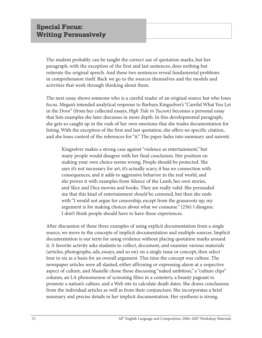The student probably can be taught the correct use of quotation marks, but her paragraph, with the exception of the first and last sentences, does nothing but reiterate the original speech. And these two sentences reveal fundamental problems in comprehension itself. Back we go to the sources themselves and the models and activities that work through thinking about them.

The next essay shows someone who is a careful reader of an original source but who loses focus. Megan's intended analytical response to Barbara Kingsolver's "Careful What You Let in the Door" (from her collected essays, *High Tide in Tucson*) becomes a personal essay that lists examples she later discusses in more depth. In this developmental paragraph, she gets so caught up in the rush of her own emotions that she trades documentation for listing. With the exception of the first and last quotation, she offers no specific citation, and she loses control of the references for "it." The paper fades into summary and naiveté.

Kingsolver makes a strong case against "violence as entertainment," but many people would disagree with her final conclusion. Her position on making your own choice seems wrong. People should be protected. She says it's not necessary for art, it's actually scary, it has no connection with consequences, and it adds to aggressive behavior in the real world, and she proves it with examples from Silence of the Lamb, her own stories, and Slice and Dice movies and books. They are really valid. She persuaded me that this kind of entertainment *should* be censored, but then she ends with "I would not argue for censorship, except from the grassroots up; my argument is for making choices about what we consume." (256) I disagree. I don't think people should have to have those experiences.

After discussion of these three examples of using explicit documentation from a single source, we move to the concepts of implicit documentation and multiple sources. Implicit documentation is our term for using evidence without placing quotation marks around it. A favorite activity asks students to collect, document, and examine various materials (articles, photographs, ads, essays, and so on) on a single issue or concept, then select four to six as a basis for an overall argument. This time the concept was culture. The newspaper articles were all slanted, either affirming or expressing alarm at a respective aspect of culture, and Masielle chose those discussing "naked ambition," a "culture clips" column, an LA phenomenon of screening films in a cemetery, a beauty pageant to promote a nation's culture, and a Web site to calculate death dates. She draws conclusions from the individual articles as well as from their conjuncture. She incorporates a brief summary and precise details in her implicit documentation. Her synthesis is strong,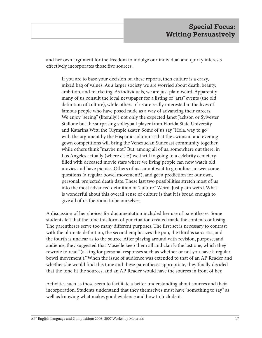and her own argument for the freedom to indulge our individual and quirky interests effectively incorporates those five sources.

If you are to base your decision on these reports, then culture is a crazy, mixed bag of values. As a larger society we are worried about death, beauty, ambition, and marketing. As individuals, we are just plain weird. Apparently many of us consult the local newspaper for a listing of "arts" events (the old definition of culture), while others of us are really interested in the lives of famous people who have posed nude as a way of advancing their careers. We enjoy "seeing" (literally!) not only the expected Janet Jackson or Sylvester Stallone but the surprising volleyball player from Florida State University and Katarina Witt, the Olympic skater. Some of us say "Hola, way to go" with the argument by the Hispanic columnist that the swimsuit and evening gown competitions will bring the Venezuelan Suncoast community together, while others think "maybe not." But, among all of us, somewhere out there, in Los Angeles actually (where else?) we thrill to going to a celebrity cemetery filled with deceased movie stars where we living people can now watch old movies and have picnics. Others of us cannot wait to go online, answer some questions (a regular bowel movement?), and get a prediction for our own, personal, projected death date. These last two possibilities stretch most of us into the most advanced definition of "culture." Weird. Just plain weird. What is wonderful about this overall sense of culture is that it is broad enough to give all of us the room to be ourselves.

A discussion of her choices for documentation included her use of parentheses. Some students felt that the tone this form of punctuation created made the content confusing. The parentheses serve too many different purposes. The first set is necessary to contrast with the ultimate definition, the second emphasizes the pun, the third is sarcastic, and the fourth is unclear as to the source. After playing around with revision, purpose, and audience, they suggested that Masielle keep them all and clarify the last one, which they rewrote to read "(asking for personal responses such as whether or not you have 'a regular bowel movement')." When the issue of audience was extended to that of an AP Reader and whether she would find this tone and these parentheses appropriate, they finally decided that the tone fit the sources, and an AP Reader would have the sources in front of her.

Activities such as these seem to facilitate a better understanding about sources and their incorporation. Students understand that they themselves must have "something to say" as well as knowing what makes good evidence and how to include it.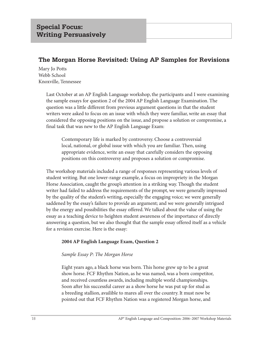# **The Morgan Horse Revisited: Using AP Samples for Revisions**

Mary Jo Potts Webb School Knoxville, Tennessee

> Last October at an AP English Language workshop, the participants and I were examining the sample essays for question 2 of the 2004 AP English Language Examination. The question was a little different from previous argument questions in that the student writers were asked to focus on an issue with which they were familiar, write an essay that considered the opposing positions on the issue, and propose a solution or compromise, a final task that was new to the AP English Language Exam:

Contemporary life is marked by controversy. Choose a controversial local, national, or global issue with which you are familiar. Then, using appropriate evidence, write an essay that carefully considers the opposing positions on this controversy and proposes a solution or compromise.

The workshop materials included a range of responses representing various levels of student writing. But one lower-range example, a focus on impropriety in the Morgan Horse Association, caught the group's attention in a striking way. Though the student writer had failed to address the requirements of the prompt, we were generally impressed by the quality of the student's writing, especially the engaging voice; we were generally saddened by the essay's failure to provide an argument; and we were generally intrigued by the energy and possibilities the essay offered. We talked about the value of using the essay as a teaching device to heighten student awareness of the importance of directly answering a question, but we also thought that the sample essay offered itself as a vehicle for a revision exercise. Here is the essay:

#### **2004 AP English Language Exam, Question 2**

#### *Sample Essay P: The Morgan Horse*

Eight years ago, a black horse was born. This horse grew up to be a great show horse. FCF Rhythm Nation, as he was named, was a born competitor, and received countless awards, including multiple world championships. Soon after his successful career as a show horse he was put up for stud as a breeding stallion, availible to mares all over the country. It must now be pointed out that FCF Rhythm Nation was a registered Morgan horse, and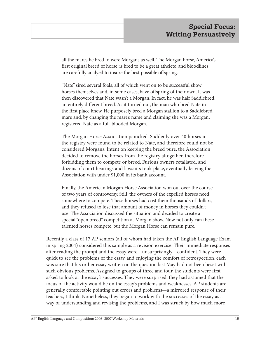all the mares he bred to were Morgans as well. The Morgan horse, America's first original breed of horse, is bred to be a great athelete, and bloodlines are carefully analyed to insure the best possible offspring.

"Nate" sired several foals, all of which went on to be successful show horses themselves and, in some cases, have offspring of their own. It was then discovered that Nate wasn't a Morgan. In fact, he was half Saddlebred, an entirely different breed. As it turned out, the man who bred Nate in the first place knew. He purposely bred a Morgan stallion to a Saddlebred mare and, by changing the mare's name and claiming she was a Morgan, registered Nate as a full-blooded Morgan.

The Morgan Horse Association panicked. Suddenly over 40 horses in the registry were found to be related to Nate, and therefore could not be considered Morgans. Intent on keeping the breed pure, the Association decided to remove the horses from the registry altogether, therefore forbidding them to compete or breed. Furious owners retaliated, and dozens of court hearings and lawsuits took place, eventually leaving the Association with under \$1,000 in its bank account.

Finally, the American Morgan Horse Association won out over the course of two years of controversy. Still, the owners of the expelled horses need somewhere to compete. These horses had cost them thousands of dollars, and they refused to lose that amount of money in horses they couldn't use. The Association discussed the situation and decided to create a special "open breed" competition at Morgan show. Now not only can these talented horses compete, but the Morgan Horse can remain pure.

Recently a class of 17 AP seniors (all of whom had taken the AP English Language Exam in spring 2004) considered this sample as a revision exercise. Their immediate responses after reading the prompt and the essay were—unsurprisingly—confident. They were quick to see the problems of the essay, and enjoying the comfort of retrospection, each was sure that his or her essay written on the question last May had not been beset with such obvious problems. Assigned to groups of three and four, the students were first asked to look at the essay's successes. They were surprised; they had assumed that the focus of the activity would be on the essay's problems and weaknesses. AP students are generally comfortable pointing out errors and problems—a mirrored response of their teachers, I think. Nonetheless, they began to work with the successes of the essay as a way of understanding and revising the problems, and I was struck by how much more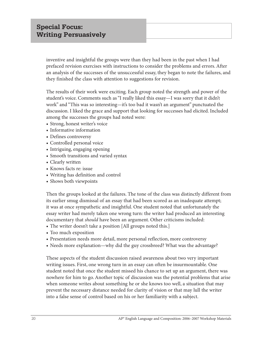inventive and insightful the groups were than they had been in the past when I had prefaced revision exercises with instructions to consider the problems and errors. After an analysis of the successes of the unsuccessful essay, they began to note the failures, and they finished the class with attention to suggestions for revision.

The results of their work were exciting. Each group noted the strength and power of the student's voice. Comments such as "I really liked this essay—I was sorry that it didn't work" and "This was so interesting—it's too bad it wasn't an argument" punctuated the discussion. I liked the grace and support that looking for successes had elicited. Included among the successes the groups had noted were:

- Strong, honest writer's voice
- **•** Informative information
- Defines controversy
- Controlled personal voice
- **•** Intriguing, engaging opening
- Smooth transitions and varied syntax
- Clearly written
- **•** Knows facts re: issue
- Writing has definition and control
- **•**  Shows both viewpoints

Then the groups looked at the failures. The tone of the class was distinctly different from its earlier smug dismissal of an essay that had been scored as an inadequate attempt; it was at once sympathetic and insightful. One student noted that unfortunately the essay writer had merely taken one wrong turn: the writer had produced an interesting documentary that *should* have been an argument. Other criticisms included:

- The writer doesn't take a position [All groups noted this.]
- Too much exposition
- **•** Presentation needs more detail, more personal reflection, more controversy
- Needs more explanation—why did the guy crossbreed? What was the advantage?

These aspects of the student discussion raised awareness about two very important writing issues. First, one wrong turn in an essay can often be insurmountable. One student noted that once the student missed his chance to set up an argument, there was nowhere for him to go. Another topic of discussion was the potential problems that arise when someone writes about something he or she knows too well, a situation that may prevent the necessary distance needed for clarity of vision or that may lull the writer into a false sense of control based on his or her familiarity with a subject.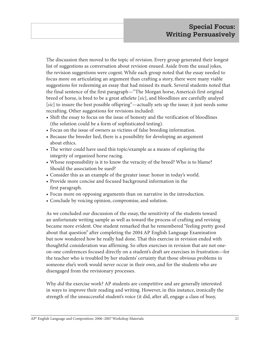The discussion then moved to the topic of revision. Every group generated their longest list of suggestions as conversation about revision ensued. Aside from the usual jokes, the revision suggestions were cogent. While each group noted that the essay needed to focus more on articulating an argument than crafting a story, there were many viable suggestions for redeeming an essay that had missed its mark. Several students noted that the final sentence of the first paragraph—"The Morgan horse, America's first original breed of horse, is bred to be a great athelete [*sic*], and bloodlines are carefully analyed [sic] to insure the best possible offspring"—actually sets up the issue; it just needs some recrafting. Other suggestions for revisions included:

- Shift the essay to focus on the issue of honesty and the verification of bloodlines (the solution could be a form of sophisticated testing).
- Focus on the issue of owners as victims of false breeding information.
- Because the breeder lied, there is a possibility for developing an argument about ethics.
- The writer could have used this topic/example as a means of exploring the integrity of organized horse racing.
- Whose responsibility is it to know the veracity of the breed? Who is to blame? Should the association be sued?
- **•** Consider this as an example of the greater issue: honor in today's world.
- **•** Provide more concise and focused background information in the first paragraph.
- Focus more on opposing arguments than on narrative in the introduction.
- **•** Conclude by voicing opinion, compromise, and solution.

As we concluded our discussion of the essay, the sensitivity of the students toward an unfortunate writing sample as well as toward the process of crafting and revising became more evident. One student remarked that he remembered "feeling pretty good about that question" after completing the 2004 AP English Language Examination but now wondered how he really had done. That this exercise in revision ended with thoughtful consideration was affirming. So often exercises in revision that are not oneon-one conferences focused directly on a student's draft are exercises in frustration—for the teacher who is troubled by her students' certainty that those obvious problems in someone else's work would never occur in their own, and for the students who are disengaged from the revisionary processes.

Why *did* the exercise work? AP students are competitive and are generally interested in ways to improve their reading and writing. However, in this instance, ironically the strength of the unsuccessful student's voice (it did, after all, engage a class of busy,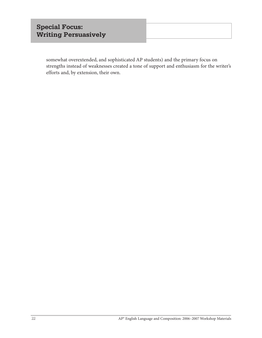# **Special Focus: Writing Persuasively**

somewhat overextended, and sophisticated AP students) and the primary focus on strengths instead of weaknesses created a tone of support and enthusiasm for the writer's efforts and, by extension, their own.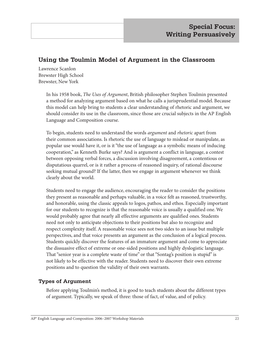# **Using the Toulmin Model of Argument in the Classroom**

Lawrence Scanlon Brewster High School Brewster, New York

> In his 1958 book, *The Uses of Argument*, British philosopher Stephen Toulmin presented a method for analyzing argument based on what he calls a jurisprudential model. Because this model can help bring to students a clear understanding of rhetoric and argument, we should consider its use in the classroom, since those are crucial subjects in the AP English Language and Composition course.

To begin, students need to understand the words *argument* and *rhetoric* apart from their common associations. Is rhetoric the use of language to mislead or manipulate, as popular use would have it, or is it "the use of language as a symbolic means of inducing cooperation," as Kenneth Burke says? And is argument a conflict in language, a contest between opposing verbal forces, a discussion involving disagreement, a contentious or disputatious quarrel, or is it rather a process of reasoned inquiry, of rational discourse seeking mutual ground? If the latter, then we engage in argument whenever we think clearly about the world.

Students need to engage the audience, encouraging the reader to consider the positions they present as reasonable and perhaps valuable, in a voice felt as reasoned, trustworthy, and honorable, using the classic appeals to logos, pathos, and ethos. Especially important for our students to recognize is that the reasonable voice is usually a qualified one. We would probably agree that nearly all effective arguments are qualified ones. Students need not only to anticipate objections to their positions but also to recognize and respect complexity itself. A reasonable voice sees not two sides to an issue but multiple perspectives, and that voice presents an argument as the conclusion of a logical process. Students quickly discover the features of an immature argument and come to appreciate the dissuasive effect of extreme or one-sided positions and highly dyslogistic language. That "senior year is a complete waste of time" or that "Sontag's position is stupid" is not likely to be effective with the reader. Students need to discover their own extreme positions and to question the validity of their own warrants.

## **Types of Argument**

Before applying Toulmin's method, it is good to teach students about the different types of argument. Typically, we speak of three: those of fact, of value, and of policy.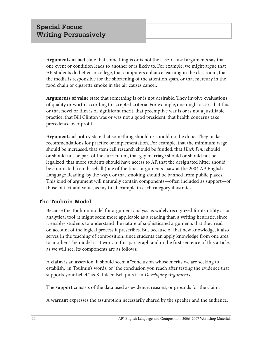**Arguments of fact** state that something is or is not the case. Causal arguments say that one event or condition leads to another or is likely to. For example, we might argue that AP students do better in college, that computers enhance learning in the classroom, that the media is responsible for the shortening of the attention span, or that mercury in the food chain or cigarette smoke in the air causes cancer.

**Arguments of value** state that something is or is not desirable. They involve evaluations of quality or worth according to accepted criteria. For example, one might assert that this or that novel or film is of significant merit, that preemptive war is or is not a justifiable practice, that Bill Clinton was or was not a good president, that health concerns take precedence over profit.

**Arguments of policy** state that something should or should not be done. They make recommendations for practice or implementation. For example, that the minimum wage should be increased, that stem cell research should be funded, that *Huck Finn* should or should not be part of the curriculum, that gay marriage should or should not be legalized, that more students should have access to AP, that the designated hitter should be eliminated from baseball (one of the finest arguments I saw at the 2004 AP English Language Reading, by the way), or that smoking should be banned from public places. This kind of argument will naturally contain components—often included as support—of those of fact and value, as my final example in each category illustrates.

#### **The Toulmin Model**

Because the Toulmin model for argument analysis is widely recognized for its utility as an analytical tool, it might seem more applicable as a reading than a writing heuristic, since it enables students to understand the nature of sophisticated arguments that they read on account of the logical process it prescribes. But because of that new knowledge, it also serves in the teaching of composition, since students can apply knowledge from one area to another. The model is at work in this paragraph and in the first sentence of this article, as we will see. Its components are as follows:

A **claim** is an assertion. It should seem a "conclusion whose merits we are seeking to establish," in Toulmin's words, or "the conclusion you reach after testing the evidence that supports your belief," as Kathleen Bell puts it in *Developing Arguments*.

The **support** consists of the data used as evidence, reasons, or grounds for the claim.

A **warrant** expresses the assumption necessarily shared by the speaker and the audience.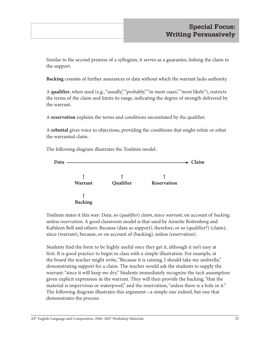Similar to the second premise of a syllogism, it serves as a guarantee, linking the claim to the support.

**Backing** consists of further assurances or data without which the warrant lacks authority.

A **qualifier**, when used (e.g., "usually," "probably," "in most cases," "most likely"), restricts the terms of the claim and limits its range, indicating the degree of strength delivered by the warrant.

A **reservation** explains the terms and conditions necessitated by the qualifier.

A **rebuttal** gives voice to objections, providing the conditions that might refute or rebut the warranted claim.

The following diagram illustrates the Toulmin model:



Toulmin states it this way: *Data*, so (*qualifier*) *claim*, since *warrant*, on account of *backing*, unless *reservation*. A good classroom model is that used by Annette Rottenberg and Kathleen Bell and others: Because (data as support), therefore, or so (qualifier?) (claim), since (warrant), because, or on account of (backing), unless (reservation).

Students find the form to be highly useful once they get it, although it isn't easy at first. It is good practice to begin in class with a simple illustration. For example, at the board the teacher might write, "Because it is raining, I should take my umbrella," demonstrating support for a claim. The teacher would ask the students to supply the warrant: "since it will keep *me* dry." Students immediately recognize the tacit assumption given explicit expression in the warrant. They will then provide the backing, "that the material is impervious or waterproof," and the reservation, "unless there is a hole in it." The following diagram illustrates this argument—a simple one indeed, but one that demonstrates the process.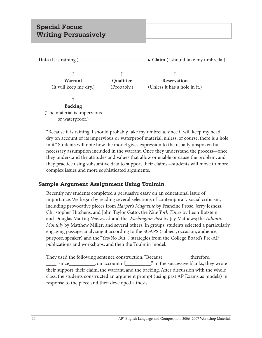# **Special Focus: Writing Persuasively**

**Data** (It is raining.) <u>——————————————————></u> **Claim** (I should take my umbrella.)

| <b>Warrant</b>         | Qualifier   | Reservation                   |
|------------------------|-------------|-------------------------------|
| (It will keep me dry.) | (Probably.) | (Unless it has a hole in it.) |

**↑ Backing** (The material is impervious or waterproof.)

"Because it is raining, I should probably take my umbrella, since it will keep my head dry on account of its impervious or waterproof material, unless, of course, there is a hole in it." Students will note how the model gives expression to the usually unspoken but necessary assumption included in the warrant. Once they understand the process—once they understand the attitudes and values that allow or enable or cause the problem, and they practice using substantive data to support their claims—students will move to more complex issues and more sophisticated arguments.

## **Sample Argument Assignment Using Toulmin**

Recently my students completed a persuasive essay on an educational issue of importance. We began by reading several selections of contemporary social criticism, including provocative pieces from *Harper's Magazine* by Francine Prose, Jerry Jesness, Christopher Hitchens, and John Taylor Gatto; the *New York Times* by Leon Botstein and Douglas Martin; *Newsweek* and the *Washington Post* by Jay Mathews; the *Atlantic Monthly* by Matthew Miller; and several others. In groups, students selected a particularly engaging passage, analyzing it according to the SOAPS (subject, occasion, audience, purpose, speaker) and the "Yes/No But..." strategies from the College Board's Pre-AP publications and workshops, and then the Toulmin model.

They used the following sentence construction: "Because \_\_\_\_\_\_\_\_\_, therefore, \_\_\_\_, since\_\_\_\_\_\_\_\_\_\_, on account of\_\_\_\_\_\_\_\_\_\_." In the successive blanks, they wrote their support, their claim, the warrant, and the backing. After discussion with the whole class, the students constructed an argument prompt (using past AP Exams as models) in response to the piece and then developed a thesis.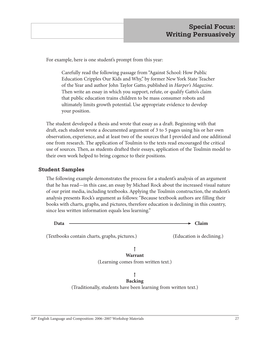For example, here is one student's prompt from this year:

Carefully read the following passage from "Against School: How Public Education Cripples Our Kids and Why," by former New York State Teacher of the Year and author John Taylor Gatto, published in *Harper's Magazine*. Then write an essay in which you support, refute, or qualify Gatto's claim that public education trains children to be mass consumer robots and ultimately limits growth potential. Use appropriate evidence to develop your position.

The student developed a thesis and wrote that essay as a draft. Beginning with that draft, each student wrote a documented argument of 3 to 5 pages using his or her own observation, experience, and at least two of the sources that I provided and one additional one from research. The application of Toulmin to the texts read encouraged the critical use of sources. Then, as students drafted their essays, application of the Toulmin model to their own work helped to bring cogence to their positions.

#### **Student Samples**

The following example demonstrates the process for a student's analysis of an argument that he has read—in this case, an essay by Michael Rock about the increased visual nature of our print media, including textbooks. Applying the Toulmin construction, the student's analysis presents Rock's argument as follows: "Because textbook authors are filling their books with charts, graphs, and pictures, therefore education is declining in this country, since less written information equals less learning."

Data —————————————————————————> Claim

(Textbooks contain charts, graphs, pictures.) (Education is declining.)

**↑ Warrant** (Learning comes from written text.)

**↑ Backing** (Traditionally, students have been learning from written text.)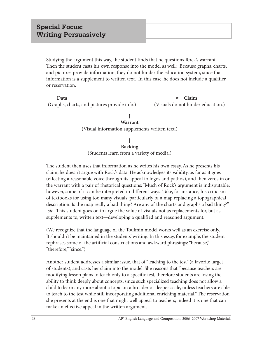Studying the argument this way, the student finds that he questions Rock's warrant. Then the student casts his own response into the model as well: "Because graphs, charts, and pictures provide information, they do not hinder the education system, since that information is a supplement to written text." In this case, he does not include a qualifier or reservation.

Data <del>Caim</del> Claim (Graphs, charts, and pictures provide info.) (Visuals do not hinder education.)

**↑** 

**Warrant** 

(Visual information supplements written text.)

**↑ Backing**

(Students learn from a variety of media.)

The student then uses that information as he writes his own essay. As he presents his claim, he doesn't argue with Rock's data. He acknowledges its validity, as far as it goes (effecting a reasonable voice through its appeal to logos and pathos), and then zeros in on the warrant with a pair of rhetorical questions: "Much of Rock's argument is indisputable; however, some of it can be interpreted in different ways. Take, for instance, his criticism of textbooks for using too many visuals, particularly of a map replacing a topographical description. Is the map really a bad thing? Are any of the charts and graphs a bad thing?" [*sic*] This student goes on to argue the value of visuals not as replacements for, but as supplements to, written text—developing a qualified and reasoned argument.

(We recognize that the language of the Toulmin model works well as an exercise only. It shouldn't be maintained in the students' writing. In this essay, for example, the student rephrases some of the artificial constructions and awkward phrasings: "because," "therefore," "since.")

Another student addresses a similar issue, that of "teaching to the test" (a favorite target of students), and casts her claim into the model. She reasons that "because teachers are modifying lesson plans to teach only to a specific test, therefore students are losing the ability to think deeply about concepts, since such specialized teaching does not allow a child to learn any more about a topic on a broader or deeper scale, unless teachers are able to teach to the test while still incorporating additional enriching material." The reservation she presents at the end is one that might well appeal to teachers; indeed it is one that can make an effective appeal in the written argument.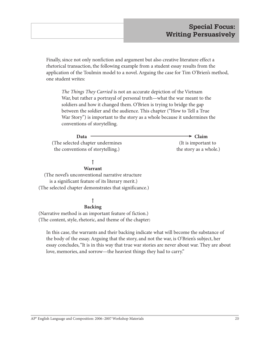Finally, since not only nonfiction and argument but also creative literature effect a rhetorical transaction, the following example from a student essay results from the application of the Toulmin model to a novel. Arguing the case for Tim O'Brien's method, one student writes:

*The Things They Carried* is not an accurate depiction of the Vietnam War, but rather a portrayal of personal truth—what the war meant to the soldiers and how it changed them. O'Brien is trying to bridge the gap between the soldier and the audience. This chapter ("How to Tell a True War Story") is important to the story as a whole because it undermines the conventions of storytelling.

Data <del>Cambridge Claim</del> Claim (The selected chapter undermines (It is important to the conventions of storytelling.) the story as a whole.)

# **↑**

#### **Warrant**

(The novel's unconventional narrative structure is a significant feature of its literary merit.) (The selected chapter demonstrates that significance.)

# **↑**

#### **Backing**

(Narrative method is an important feature of fiction.) (The content, style, rhetoric, and theme of the chapter)

In this case, the warrants and their backing indicate what will become the substance of the body of the essay. Arguing that the story, and not the war, is O'Brien's subject, her essay concludes, "It is in this way that true war stories are never about war. They are about love, memories, and sorrow—the heaviest things they had to carry."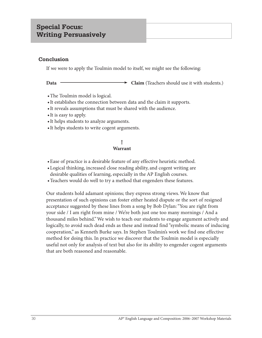#### **Conclusion**

If we were to apply the Toulmin model to itself, we might see the following:

Data — **Claim** (Teachers should use it with students.)

- **•**The Toulmin model is logical.
- **•**It establishes the connection between data and the claim it supports.
- **•**It reveals assumptions that must be shared with the audience.
- **•**It is easy to apply.
- **•**It helps students to analyze arguments.
- **•**It helps students to write cogent arguments.

#### **↑ Warrant**

- **•**Ease of practice is a desirable feature of any effective heuristic method.
- **•**Logical thinking, increased close reading ability, and cogent writing are desirable qualities of learning, especially in the AP English courses.
- **•**Teachers would do well to try a method that engenders these features.

Our students hold adamant opinions; they express strong views. We know that presentation of such opinions can foster either heated dispute or the sort of resigned acceptance suggested by these lines from a song by Bob Dylan: "You are right from your side / I am right from mine / We're both just one too many mornings / And a thousand miles behind." We wish to teach our students to engage argument actively and logically, to avoid such dead ends as these and instead find "symbolic means of inducing cooperation," as Kenneth Burke says. In Stephen Toulmin's work we find one effective method for doing this. In practice we discover that the Toulmin model is especially useful not only for analysis of text but also for its ability to engender cogent arguments that are both reasoned and reasonable.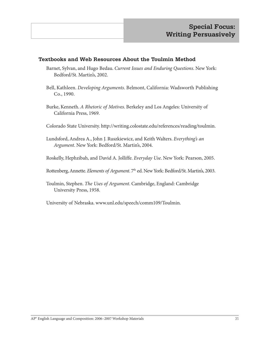#### **Textbooks and Web Resources About the Toulmin Method**

- Barnet, Sylvan, and Hugo Bedau. *Current Issues and Enduring Questions*. New York: Bedford/St. Martin's, 2002.
- Bell, Kathleen. *Developing Arguments*. Belmont, California: Wadsworth Publishing Co., 1990.
- Burke, Kenneth. *A Rhetoric of Motives*. Berkeley and Los Angeles: University of California Press, 1969.
- Colorado State University. http://writing.colostate.edu/references/reading/toulmin.
- Lundsford, Andrea A., John J. Ruszkiewicz, and Keith Walters. *Everything's an Argument*. New York: Bedford/St. Martin's, 2004.
- Roskelly, Hephzibah, and David A. Jolliffe. *Everyday Use*. New York: Pearson, 2005.
- Rottenberg, Annette. *Elements of Argument*. 7th ed. New York: Bedford/St. Martin's, 2003.
- Toulmin, Stephen. *The Uses of Argument*. Cambridge, England: Cambridge University Press, 1958.
- University of Nebraska. www.unl.edu/speech/comm109/Toulmin.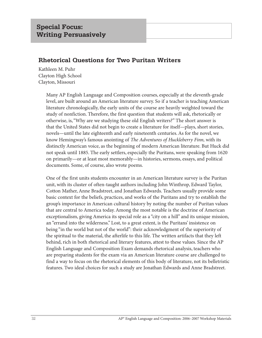# **Rhetorical Questions for Two Puritan Writers**

Kathleen M. Puhr Clayton High School Clayton, Missouri

> Many AP English Language and Composition courses, especially at the eleventh-grade level, are built around an American literature survey. So if a teacher is teaching American literature chronologically, the early units of the course are heavily weighted toward the study of nonfiction. Therefore, the first question that students will ask, rhetorically or otherwise, is, "Why are we studying these old English writers?" The short answer is that the United States did not begin to create a literature for itself—plays, short stories, novels—until the late eighteenth and early nineteenth centuries. As for the novel, we know Hemingway's famous anointing of *The Adventures of Huckleberry Finn,* with its distinctly American voice, as the beginning of modern American literature. But Huck did not speak until 1885. The early settlers, especially the Puritans, were speaking from 1620 on primarily—or at least most memorably—in histories, sermons, essays, and political documents. Some, of course, also wrote poems.

> One of the first units students encounter in an American literature survey is the Puritan unit, with its cluster of often-taught authors including John Winthrop, Edward Taylor, Cotton Mather, Anne Bradstreet, and Jonathan Edwards. Teachers usually provide some basic context for the beliefs, practices, and works of the Puritans and try to establish the group's importance in American cultural history by noting the number of Puritan values that are central to America today. Among the most notable is the doctrine of American exceptionalism, giving America its special role as a "city on a hill" and its unique mission, an "errand into the wilderness." Lost, to a great extent, is the Puritans' insistence on being "in the world but not of the world": their acknowledgment of the superiority of the spiritual to the material, the afterlife to this life. The written artifacts that they left behind, rich in both rhetorical and literary features, attest to these values. Since the AP English Language and Composition Exam demands rhetorical analysis, teachers who are preparing students for the exam via an American literature course are challenged to find a way to focus on the rhetorical elements of this body of literature, not its belletristic features. Two ideal choices for such a study are Jonathan Edwards and Anne Bradstreet.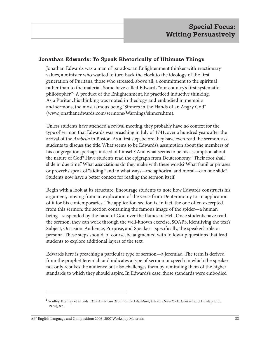#### **Jonathan Edwards: To Speak Rhetorically of Ultimate Things**

Jonathan Edwards was a man of paradox: an Enlightenment thinker with reactionary values, a minister who wanted to turn back the clock to the ideology of the first generation of Puritans, those who stressed, above all, a commitment to the spiritual rather than to the material. Some have called Edwards "our country's first systematic philosopher."1 A product of the Enlightenment, he practiced inductive thinking. As a Puritan, his thinking was rooted in theology and embodied in memoirs and sermons, the most famous being "Sinners in the Hands of an Angry God" (www.jonathanedwards.com/sermons/Warnings/sinners.htm).

Unless students have attended a revival meeting, they probably have no context for the type of sermon that Edwards was preaching in July of 1741, over a hundred years after the arrival of the *Arabella* in Boston. As a first step, before they have even read the sermon, ask students to discuss the title. What seems to be Edwards's assumption about the members of his congregation, perhaps indeed of himself? And what seems to be his assumption about the nature of God? Have students read the epigraph from Deuteronomy, "Their foot shall slide in due time." What associations do they make with these words? What familiar phrases or proverbs speak of "sliding," and in what ways—metaphorical and moral—can one slide? Students now have a better context for reading the sermon itself.

Begin with a look at its structure. Encourage students to note how Edwards constructs his argument, moving from an explication of the verse from Deuteronomy to an application of it for his contemporaries. The application section is, in fact, the one often excerpted from this sermon: the section containing the famous image of the spider—a human being—suspended by the hand of God over the flames of Hell. Once students have read the sermon, they can work through the well-known exercise, SOAPS, identifying the text's Subject, Occasion, Audience, Purpose, and Speaker—specifically, the speaker's role or persona. These steps should, of course, be augmented with follow-up questions that lead students to explore additional layers of the text.

Edwards here is preaching a particular type of sermon—a jeremiad. The term is derived from the prophet Jeremiah and indicates a type of sermon or speech in which the speaker not only rebukes the audience but also challenges them by reminding them of the higher standards to which they should aspire. In Edwards's case, those standards were embodied

<sup>1</sup> Sculley, Bradley et al., eds., *The American Tradition in Literature*, 4th ed. (New York: Grosset and Dunlap, Inc., 1974), 89.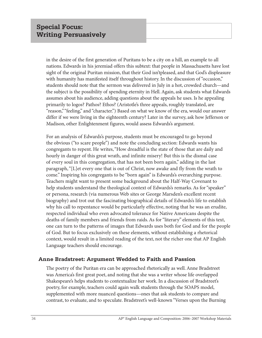in the desire of the first generation of Puritans to be a city on a hill, an example to all nations. Edwards in his jeremiad offers this subtext: that people in Massachusetts have lost sight of the original Puritan mission, that their God isn'tpleased, and that God's displeasure with humanity has manifested itself throughout history. In the discussion of "occasion," students should note that the sermon was delivered in July in a hot, crowded church—and the subject is the possibility of spending eternity in Hell. Again, ask students what Edwards assumes about his audience, adding questions about the appeals he uses. Is he appealing primarily to logos? Pathos? Ethos? (Aristotle's three appeals, roughly translated, are "reason," "feeling," and "character.") Based on what we know of the era, would our answer differ if we were living in the eighteenth century? Later in the survey, ask how Jefferson or Madison, other Enlightenment figures, would assess Edwards's argument.

For an analysis of Edwards's purpose, students must be encouraged to go beyond the obvious ("to scare people") and note the concluding section: Edwards wants his congregants to repent. He writes, "How dreadful is the state of those that are daily and hourly in danger of this great wrath, and infinite misery! But this is the dismal case of every soul in this congregation, that has not been born again," adding in the last paragraph, "[L]et every one that is out of Christ, now awake and fly from the wrath to come." Inspiring his congregants to be "born again" is Edwards's overarching purpose. Teachers might want to present some background about the Half-Way Covenant to help students understand the theological context of Edwards's remarks. As for "speaker" or persona, research (via numerous Web sites or George Marsden's excellent recent biography) and trot out the fascinating biographical details of Edwards's life to establish why his call to repentance would be particularly effective, noting that he was an erudite, respected individual who even advocated tolerance for Native Americans despite the deaths of family members and friends from raids. As for "literary" elements of this text, one can turn to the patterns of images that Edwards uses both for God and for the people of God. But to focus exclusively on these elements, without establishing a rhetorical context, would result in a limited reading of the text, not the richer one that AP English Language teachers should encourage.

#### **Anne Bradstreet: Argument Wedded to Faith and Passion**

The poetry of the Puritan era can be approached rhetorically as well. Anne Bradstreet was America's first great poet, and noting that she was a writer whose life overlapped Shakespeare's helps students to contextualize her work. In a discussion of Bradstreet's poetry, for example, teachers could again walk students through the SOAPS model, supplemented with more nuanced questions—ones that ask students to compare and contrast, to evaluate, and to speculate. Bradstreet's well-known "Verses upon the Burning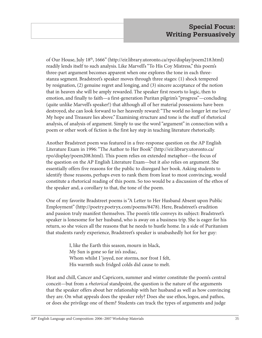of Our House, July 18<sup>th</sup>, 1666" (http://eir.library.utoronto.ca/rpo/display/poem218.html) readily lends itself to such analysis. Like Marvell's "To His Coy Mistress," this poem's three-part argument becomes apparent when one explores the tone in each threestanza segment. Bradstreet's speaker moves through three stages: (1) shock tempered by resignation, (2) genuine regret and longing, and (3) sincere acceptance of the notion that in heaven she will be amply rewarded. The speaker first resorts to logic, then to emotion, and finally to faith—a first-generation Puritan pilgrim's "progress"—concluding (quite unlike Marvell's speaker!) that although all of her material possessions have been destroyed, she can look forward to her heavenly reward: "The world no longer let me love;/ My hope and Treasure lies above." Examining structure and tone is the stuff of rhetorical analysis, of analysis of argument. Simply to use the word "argument" in connection with a poem or other work of fiction is the first key step in teaching literature rhetorically.

Another Bradstreet poem was featured in a free-response question on the AP English Literature Exam in 1996: "The Author to Her Book" (http://eir.library.utoronto.ca/ rpo/display/poem208.html). This poem relies on extended metaphor—the focus of the question on the AP English Literature Exam—but it *also* relies on argument. She essentially offers five reasons for the public to disregard her book. Asking students to identify those reasons, perhaps even to rank them from least to most convincing, would constitute a rhetorical reading of this poem. So too would be a discussion of the ethos of the speaker and, a corollary to that, the tone of the poem.

One of my favorite Bradstreet poems is "A Letter to Her Husband Absent upon Public Employment" (http://poetry.poetryx.com/poems/8478). Here, Bradstreet's erudition and passion truly manifest themselves. The poem's title conveys its subject: Bradstreet's speaker is lonesome for her husband, who is away on a business trip. She is eager for his return, so she voices all the reasons that he needs to hustle home. In a side of Puritanism that students rarely experience, Bradstreet's speaker is unabashedly hot for her guy:

> I, like the Earth this season, mourn in black, My Sun is gone so far in's zodiac, Whom whilst I 'joyed, nor storms, nor frost I felt, His warmth such fridged colds did cause to melt.

Heat and chill, Cancer and Capricorn, summer and winter constitute the poem's central conceit—but from a *rhetorical* standpoint, the question is the nature of the arguments that the speaker offers about her relationship with her husband as well as how convincing they are. On what appeals does the speaker rely? Does she use ethos, logos, and pathos, or does she privilege one of them? Students can track the types of arguments and judge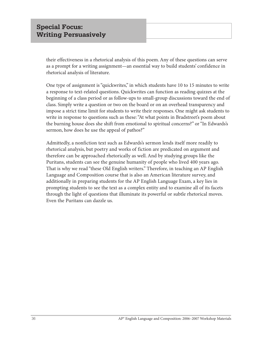their effectiveness in a rhetorical analysis of this poem. Any of these questions can serve as a prompt for a writing assignment—an essential way to build students' confidence in rhetorical analysis of literature.

One type of assignment is "quickwrites," in which students have 10 to 15 minutes to write a response to text-related questions. Quickwrites can function as reading quizzes at the beginning of a class period or as follow-ups to small-group discussions toward the end of class. Simply write a question or two on the board or on an overhead transparency and impose a strict time limit for students to write their responses. One might ask students to write in response to questions such as these: "At what points in Bradstreet's poem about the burning house does she shift from emotional to spiritual concerns?" or "In Edwards's sermon, how does he use the appeal of pathos?"

Admittedly, a nonfiction text such as Edwards's sermon lends itself more readily to rhetorical analysis, but poetry and works of fiction are predicated on argument and therefore can be approached rhetorically as well. And by studying groups like the Puritans, students can see the genuine humanity of people who lived 400 years ago. That is why we read "these Old English writers." Therefore, in teaching an AP English Language and Composition course that is also an American literature survey, and additionally in preparing students for the AP English Language Exam, a key lies in prompting students to see the text as a complex entity and to examine all of its facets through the light of questions that illuminate its powerful or subtle rhetorical moves. Even the Puritans can dazzle us.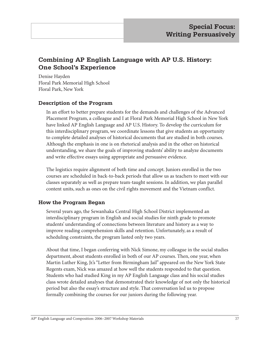# **Combining AP English Language with AP U.S. History: One School's Experience**

Denise Hayden Floral Park Memorial High School Floral Park, New York

#### **Description of the Program**

In an effort to better prepare students for the demands and challenges of the Advanced Placement Program, a colleague and I at Floral Park Memorial High School in New York have linked AP English Language and AP U.S. History. To develop the curriculum for this interdisciplinary program, we coordinate lessons that give students an opportunity to complete detailed analyses of historical documents that are studied in both courses. Although the emphasis in one is on rhetorical analysis and in the other on historical understanding, we share the goals of improving students' ability to analyze documents and write effective essays using appropriate and persuasive evidence.

The logistics require alignment of both time and concept. Juniors enrolled in the two courses are scheduled in back-to-back periods that allow us as teachers to meet with our classes separately as well as prepare team-taught sessions. In addition, we plan parallel content units, such as ones on the civil rights movement and the Vietnam conflict.

#### **How the Program Began**

Several years ago, the Sewanhaka Central High School District implemented an interdisciplinary program in English and social studies for ninth grade to promote students' understanding of connections between literature and history as a way to improve reading comprehension skills and retention. Unfortunately, as a result of scheduling constraints, the program lasted only two years.

About that time, I began conferring with Nick Simone, my colleague in the social studies department, about students enrolled in both of our AP courses. Then, one year, when Martin Luther King, Jr.'s "Letter from Birmingham Jail" appeared on the New York State Regents exam, Nick was amazed at how well the students responded to that question. Students who had studied King in my AP English Language class and his social studies class wrote detailed analyses that demonstrated their knowledge of not only the historical period but also the essay's structure and style. That conversation led us to propose formally combining the courses for our juniors during the following year.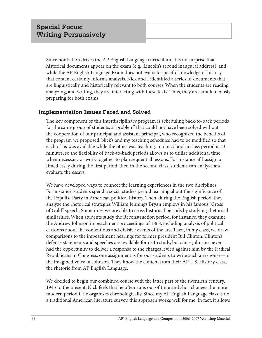Since nonfiction drives the AP English Language curriculum, it is no surprise that historical documents appear on the exam (e.g., Lincoln's second inaugural address), and while the AP English Language Exam does not evaluate specific knowledge of history, that content certainly informs analysis. Nick and I identified a series of documents that are linguistically and historically relevant to both courses. When the students are reading, analyzing, and writing, they are interacting with these texts. Thus, they are simultaneously preparing for both exams.

#### **Implementation Issues Faced and Solved**

The key component of this interdisciplinary program is scheduling back-to-back periods for the same group of students, a "problem" that could not have been solved without the cooperation of our principal and assistant principal, who recognized the benefits of the program we proposed. Nick's and my teaching schedules had to be modified so that each of us was available while the other was teaching. In our school, a class period is 43 minutes, so the flexibility of back-to-back periods allows us to utilize additional time when necessary or work together to plan sequential lessons. For instance, if I assign a timed essay during the first period, then in the second class, students can analyze and evaluate the essays.

We have developed ways to connect the learning experiences in the two disciplines. For instance, students spend a social studies period learning about the significance of the Populist Party in American political history. Then, during the English period, they analyze the rhetorical strategies William Jennings Bryan employs in his famous "Cross of Gold" speech. Sometimes we are able to cross historical periods by studying rhetorical similarities. When students study the Reconstruction period, for instance, they examine the Andrew Johnson impeachment proceedings of 1868, including analysis of political cartoons about the contentious and divisive events of the era. Then, in my class, we draw comparisons to the impeachment hearings for former president Bill Clinton. Clinton's defense statements and speeches are available for us to study, but since Johnson never had the opportunity to deliver a response to the charges levied against him by the Radical Republicans in Congress, one assignment is for our students to write such a response—in the imagined voice of Johnson. They know the content from their AP U.S. History class, the rhetoric from AP English Language.

We decided to begin our combined course with the latter part of the twentieth century, 1945 to the present. Nick feels that he often runs out of time and shortchanges the more modern period if he organizes chronologically. Since my AP English Language class is not a traditional American literature survey, this approach works well for me. In fact, it allows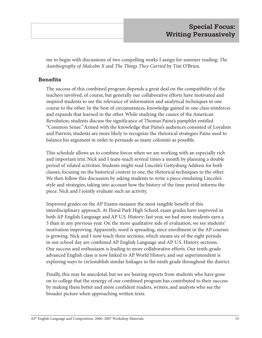me to begin with discussions of two compelling works I assign for summer reading: *The Autobiography of Malcolm X* and *The Things They Carried* by Tim O'Brien.

#### **Benefits**

The success of this combined program depends a great deal on the compatibility of the teachers involved, of course, but generally our collaborative efforts have motivated and inspired students to see the relevance of information and analytical techniques in one course to the other. In the best of circumstances, knowledge gained in one class reinforces and expands that learned in the other. While studying the causes of the American Revolution, students discuss the significance of Thomas Paine's pamphlet entitled "Common Sense." Armed with the knowledge that Paine's audiences consisted of Loyalists and Patriots, students are more likely to recognize the rhetorical strategies Paine used to balance his argument in order to persuade as many colonists as possible.

This schedule allows us to combine forces when we are working with an especially rich and important text. Nick and I team-teach several times a month by planning a double period of related activities. Students might read Lincoln's Gettysburg Address for both classes, focusing on the historical context in one, the rhetorical techniques in the other. We then follow this discussion by asking students to write a piece emulating Lincoln's style and strategies, taking into account how the history of the time period informs the piece. Nick and I jointly evaluate such an activity.

Improved grades on the AP Exams measure the most tangible benefit of this interdisciplinary approach. At Floral Park High School, exam grades have improved in both AP English Language and AP U.S. History; last year, we had more students earn a 5 than in any previous year. On the more qualitative side of evaluation, we see students' motivation improving. Apparently, word is spreading, since enrollment in the AP courses is growing. Nick and I now teach three sections, which means six of the eight periods in our school day are combined AP English Language and AP U.S. History sections. Our success and enthusiasm is leading to more collaborative efforts. Our tenth-grade advanced English class is now linked to AP World History, and our superintendent is exploring ways to (re)establish similar linkages in the ninth grade throughout the district.

Finally, this may be anecdotal, but we are hearing reports from students who have gone on to college that the synergy of our combined program has contributed to their success by making them better and more confident readers, writers, and analysts who see the broader picture when approaching written texts.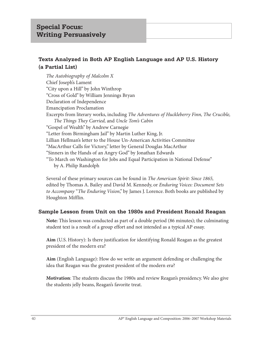# **Texts Analyzed in Both AP English Language and AP U.S. History (a Partial List)**

*The Autobiography of Malcolm X*  Chief Joseph's Lament "City upon a Hill" by John Winthrop "Cross of Gold" by William Jennings Bryan Declaration of Independence Emancipation Proclamation Excerpts from literary works, including *The Adventures of Huckleberry Finn, The Crucible, The Things They Carried,* and *Uncle Tom's Cabin* "Gospel of Wealth" by Andrew Carnegie "Letter from Birmingham Jail" by Martin Luther King, Jr. Lillian Hellman's letter to the House Un-American Activities Committee "MacArthur Calls for Victory," letter by General Douglas MacArthur "Sinners in the Hands of an Angry God" by Jonathan Edwards "To March on Washington for Jobs and Equal Participation in National Defense" by A. Philip Randolph

Several of these primary sources can be found in *The American Spirit: Since 1865,* edited by Thomas A. Bailey and David M. Kennedy, or *Enduring Voices: Document Sets to Accompany* "*The Enduring Vision*," by James J. Lorence. Both books are published by Houghton Mifflin.

#### **Sample Lesson from Unit on the 1980s and President Ronald Reagan**

**Note:** This lesson was conducted as part of a double period (86 minutes); the culminating student text is a result of a group effort and not intended as a typical AP essay.

**Aim** (U.S. History): Is there justification for identifying Ronald Reagan as the greatest president of the modern era?

**Aim** (English Language): How do we write an argument defending or challenging the idea that Reagan was the greatest president of the modern era?

**Motivation**: The students discuss the 1980s and review Reagan's presidency. We also give the students jelly beans, Reagan's favorite treat.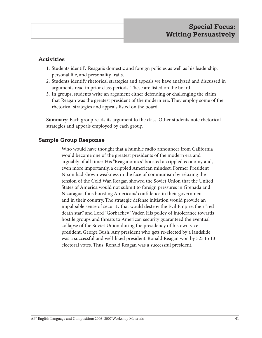#### **Activities**

- 1. Students identify Reagan's domestic and foreign policies as well as his leadership, personal life, and personality traits.
- 2. Students identify rhetorical strategies and appeals we have analyzed and discussed in arguments read in prior class periods. These are listed on the board.
- 3. In groups, students write an argument either defending or challenging the claim that Reagan was the greatest president of the modern era. They employ some of the rhetorical strategies and appeals listed on the board.

**Summary**: Each group reads its argument to the class. Other students note rhetorical strategies and appeals employed by each group.

#### **Sample Group Response**

Who would have thought that a humble radio announcer from California would become one of the greatest presidents of the modern era and arguably of all time? His "Reaganomics" boosted a crippled economy and, even more importantly, a crippled American mindset. Former President Nixon had shown weakness in the face of communism by relaxing the tension of the Cold War. Reagan showed the Soviet Union that the United States of America would not submit to foreign pressures in Grenada and Nicaragua, thus boosting Americans' confidence in their government and in their country. The strategic defense initiation would provide an impalpable sense of security that would destroy the Evil Empire, their "red death star," and Lord "Gorbachev" Vader. His policy of intolerance towards hostile groups and threats to American security guaranteed the eventual collapse of the Soviet Union during the presidency of his own vice president, George Bush. Any president who gets re-elected by a landslide was a successful and well-liked president. Ronald Reagan won by 525 to 13 electoral votes. Thus, Ronald Reagan was a successful president.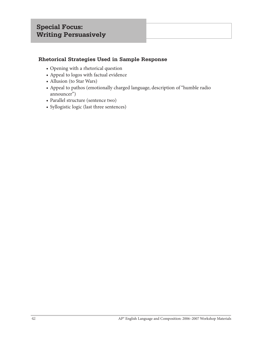#### **Rhetorical Strategies Used in Sample Response**

- **•** Opening with a rhetorical question
- **•** Appeal to logos with factual evidence
- **•** Allusion (to Star Wars)
- **•** Appeal to pathos (emotionally charged language, description of "humble radio announcer")
- **•** Parallel structure (sentence two)
- **•** Syllogistic logic (last three sentences)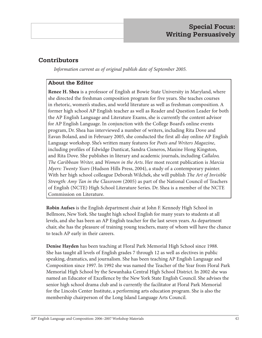# **Contributors**

*Information current as of original publish date of September 2005.*

#### **About the Editor**

**Renee H. Shea** is a professor of English at Bowie State University in Maryland, where she directed the freshman composition program for five years. She teaches courses in rhetoric, women's studies, and world literature as well as freshman composition. A former high school AP English teacher as well as Reader and Question Leader for both the AP English Language and Literature Exams, she is currently the content advisor for AP English Language. In conjunction with the College Board's online events program, Dr. Shea has interviewed a number of writers, including Rita Dove and Eavan Boland, and in February 2005, she conducted the first all-day online AP English Language workshop. She's written many features for *Poets and Writers Magazine*, including profiles of Edwidge Danticat, Sandra Cisneros, Maxine Hong Kingston, and Rita Dove. She publishes in literary and academic journals, including *Callaloo, The Caribbean Writer,* and *Women in the Arts*. Her most recent publication is *Marcia Myers: Twenty Years* (Hudson Hills Press, 2004), a study of a contemporary painter. With her high school colleague Deborah Wilchek, she will publish *The Art of Invisible Strength: Amy Tan in the Classroom* (2005) as part of the National Council of Teachers of English (NCTE) High School Literature Series. Dr. Shea is a member of the NCTE Commission on Literature.

**Robin Aufses** is the English department chair at John F. Kennedy High School in Bellmore, New York. She taught high school English for many years to students at all levels, and she has been an AP English teacher for the last seven years. As department chair, she has the pleasure of training young teachers, many of whom will have the chance to teach AP early in their careers.

**Denise Hayden** has been teaching at Floral Park Memorial High School since 1988. She has taught all levels of English grades 7 through 12 as well as electives in public speaking, dramatics, and journalism. She has been teaching AP English Language and Composition since 1997. In 1992 she was named the Teacher of the Year from Floral Park Memorial High School by the Sewanhaka Central High School District. In 2002 she was named an Educator of Excellence by the New York State English Council. She advises the senior high school drama club and is currently the facilitator at Floral Park Memorial for the Lincoln Center Institute, a performing arts education program. She is also the membership chairperson of the Long Island Language Arts Council.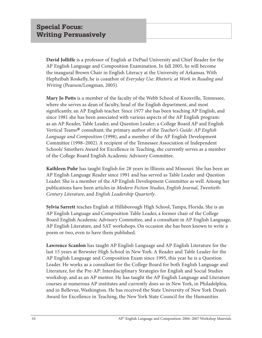**David Jolliffe** is a professor of English at DePaul University and Chief Reader for the AP English Language and Composition Examination. In fall 2005, he will become the inaugural Brown Chair in English Literacy at the University of Arkansas. With Hephzibah Roskelly, he is coauthor of *Everyday Use: Rhetoric at Work in Reading and Writing* (Pearson/Longman, 2005).

**Mary Jo Potts** is a member of the faculty of the Webb School of Knoxville, Tennessee, where she serves as dean of faculty, head of the English department, and most significantly, an AP English teacher. Since 1977 she has been teaching AP English, and since 1981 she has been associated with various aspects of the AP English program: as an AP Reader, Table Leader, and Question Leader; a College Board AP and English Vertical Teams® consultant; the primary author of the *Teacher's Guide: AP English Language and Composition* (1998), and a member of the AP English Development Committee (1998–2002). A recipient of the Tennessee Association of Independent Schools' Smothers Award for Excellence in Teaching, she currently serves as a member of the College Board English Academic Advisory Committee.

**Kathleen Puhr** has taught English for 28 years in Illinois and Missouri. She has been an AP English Language Reader since 1991 and has served as Table Leader and Question Leader. She is a member of the AP English Development Committee as well. Among her publications have been articles in *Modern Fiction Studies*, *English Journal*, *Twentieth-Century Literature*, and *English Leadership Quarterly*.

**Sylvia Sarrett** teaches English at Hillsborough High School, Tampa, Florida. She is an AP English Language and Composition Table Leader, a former chair of the College Board English Academic Advisory Committee, and a consultant in AP English Language, AP English Literature, and SAT workshops. On occasion she has been known to write a poem or two, even to have them published.

**Lawrence Scanlon** has taught AP English Language and AP English Literature for the last 15 years at Brewster High School in New York. A Reader and Table Leader for the AP English Language and Composition Exam since 1995, this year he is a Question Leader. He works as a consultant for the College Board for both English Language and Literature, for the Pre-AP: Interdisciplinary Strategies for English and Social Studies workshop, and as an AP mentor. He has taught the AP English Language and Literature courses at numerous AP institutes and currently does so in New York, in Philadelphia, and in Bellevue, Washington. He has received the State University of New York Dean's Award for Excellence in Teaching, the New York State Council for the Humanities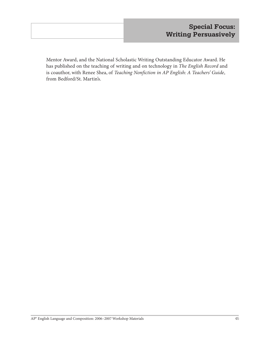Mentor Award, and the National Scholastic Writing Outstanding Educator Award. He has published on the teaching of writing and on technology in *The English Record* and is coauthor, with Renee Shea, of *Teaching Nonfiction in AP English: A Teachers' Guide*, from Bedford/St. Martin's.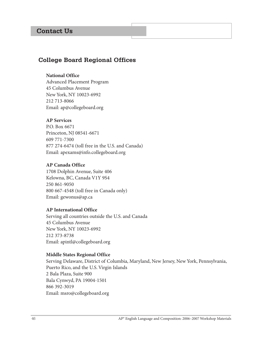# **Contact Us**

#### **College Board Regional Offices**

#### **National Office**

Advanced Placement Program 45 Columbus Avenue New York, NY 10023-6992 212 713-8066 Email: ap@collegeboard.org

#### **AP Services**

P.O. Box 6671 Princeton, NJ 08541-6671 609 771-7300 877 274-6474 (toll free in the U.S. and Canada) Email: apexams@info.collegeboard.org

#### **AP Canada Office**

1708 Dolphin Avenue, Suite 406 Kelowna, BC, Canada V1Y 9S4 250 861-9050 800 667-4548 (toll free in Canada only) Email: gewonus@ap.ca

#### **AP International Office**

Serving all countries outside the U.S. and Canada 45 Columbus Avenue New York, NY 10023-6992 212 373-8738 Email: apintl@collegeboard.org

#### **Middle States Regional Office**

Serving Delaware, District of Columbia, Maryland, New Jersey, New York, Pennsylvania, Puerto Rico, and the U.S. Virgin Islands 2 Bala Plaza, Suite 900 Bala Cynwyd, PA 19004-1501 866 392-3019 Email: msro@collegeboard.org